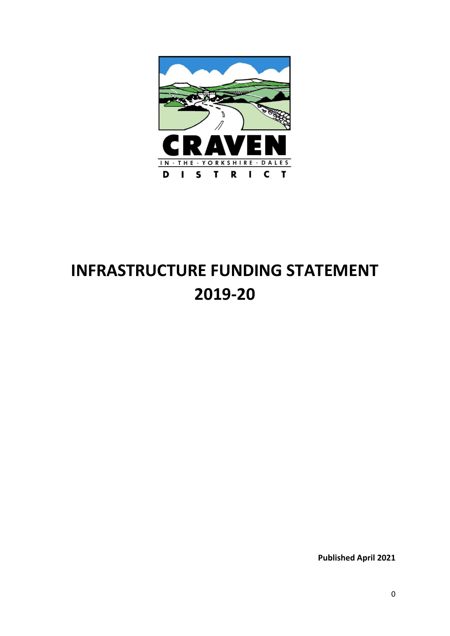

# **INFRASTRUCTURE FUNDING STATEMENT 2019-20**

**Published April 2021**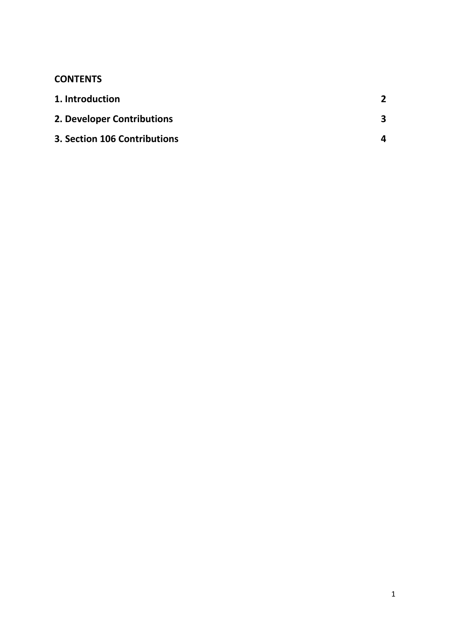# **CONTENTS**

| 1. Introduction                     |   |
|-------------------------------------|---|
| 2. Developer Contributions          |   |
| <b>3. Section 106 Contributions</b> | 4 |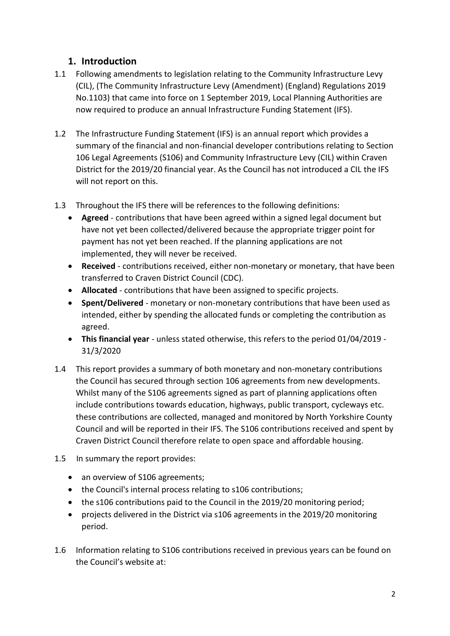## **1. Introduction**

- 1.1 Following amendments to legislation relating to the Community Infrastructure Levy (CIL), (The Community Infrastructure Levy (Amendment) (England) Regulations 2019 No.1103) that came into force on 1 September 2019, Local Planning Authorities are now required to produce an annual Infrastructure Funding Statement (IFS).
- 1.2 The Infrastructure Funding Statement (IFS) is an annual report which provides a summary of the financial and non-financial developer contributions relating to Section 106 Legal Agreements (S106) and Community Infrastructure Levy (CIL) within Craven District for the 2019/20 financial year. As the Council has not introduced a CIL the IFS will not report on this.
- 1.3 Throughout the IFS there will be references to the following definitions:
	- **Agreed** contributions that have been agreed within a signed legal document but have not yet been collected/delivered because the appropriate trigger point for payment has not yet been reached. If the planning applications are not implemented, they will never be received.
	- **Received** contributions received, either non-monetary or monetary, that have been transferred to Craven District Council (CDC).
	- **Allocated** contributions that have been assigned to specific projects.
	- **Spent/Delivered** monetary or non-monetary contributions that have been used as intended, either by spending the allocated funds or completing the contribution as agreed.
	- **This financial year** unless stated otherwise, this refers to the period 01/04/2019 31/3/2020
- 1.4 This report provides a summary of both monetary and non-monetary contributions the Council has secured through section 106 agreements from new developments. Whilst many of the S106 agreements signed as part of planning applications often include contributions towards education, highways, public transport, cycleways etc. these contributions are collected, managed and monitored by North Yorkshire County Council and will be reported in their IFS. The S106 contributions received and spent by Craven District Council therefore relate to open space and affordable housing.
- 1.5 In summary the report provides:
	- an overview of S106 agreements;
	- the Council's internal process relating to s106 contributions;
	- the s106 contributions paid to the Council in the 2019/20 monitoring period;
	- projects delivered in the District via s106 agreements in the 2019/20 monitoring period.
- 1.6 Information relating to S106 contributions received in previous years can be found on the Council's website at: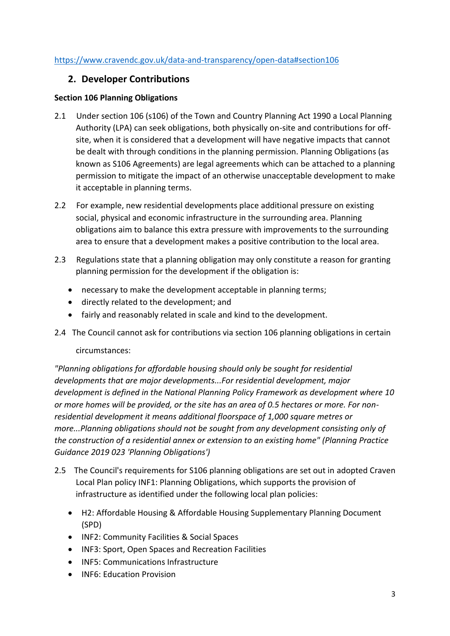#### <https://www.cravendc.gov.uk/data-and-transparency/open-data#section106>

## **2. Developer Contributions**

#### **Section 106 Planning Obligations**

- 2.1 Under section 106 (s106) of the Town and Country Planning Act 1990 a Local Planning Authority (LPA) can seek obligations, both physically on-site and contributions for offsite, when it is considered that a development will have negative impacts that cannot be dealt with through conditions in the planning permission. Planning Obligations (as known as S106 Agreements) are legal agreements which can be attached to a planning permission to mitigate the impact of an otherwise unacceptable development to make it acceptable in planning terms.
- 2.2 For example, new residential developments place additional pressure on existing social, physical and economic infrastructure in the surrounding area. Planning obligations aim to balance this extra pressure with improvements to the surrounding area to ensure that a development makes a positive contribution to the local area.
- 2.3 Regulations state that a planning obligation may only constitute a reason for granting planning permission for the development if the obligation is:
	- necessary to make the development acceptable in planning terms;
	- directly related to the development; and
	- fairly and reasonably related in scale and kind to the development.
- 2.4 The Council cannot ask for contributions via section 106 planning obligations in certain

#### circumstances:

*"Planning obligations for affordable housing should only be sought for residential developments that are major developments...For residential development, major development is defined in the National Planning Policy Framework as development where 10 or more homes will be provided, or the site has an area of 0.5 hectares or more. For nonresidential development it means additional floorspace of 1,000 square metres or more...Planning obligations should not be sought from any development consisting only of the construction of a residential annex or extension to an existing home" (Planning Practice Guidance 2019 023 'Planning Obligations')*

- 2.5 The Council's requirements for S106 planning obligations are set out in adopted Craven Local Plan policy INF1: Planning Obligations, which supports the provision of infrastructure as identified under the following local plan policies:
	- H2: Affordable Housing & Affordable Housing Supplementary Planning Document (SPD)
	- INF2: Community Facilities & Social Spaces
	- INF3: Sport, Open Spaces and Recreation Facilities
	- INF5: Communications Infrastructure
	- INF6: Education Provision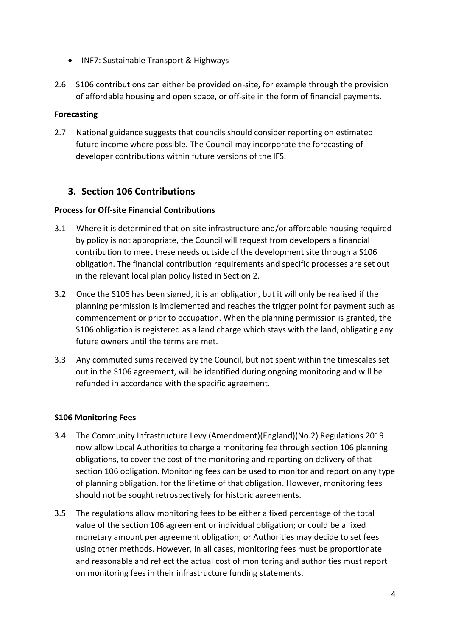- INF7: Sustainable Transport & Highways
- 2.6 S106 contributions can either be provided on-site, for example through the provision of affordable housing and open space, or off-site in the form of financial payments.

#### **Forecasting**

2.7 National guidance suggests that councils should consider reporting on estimated future income where possible. The Council may incorporate the forecasting of developer contributions within future versions of the IFS.

## **3. Section 106 Contributions**

#### **Process for Off-site Financial Contributions**

- 3.1 Where it is determined that on-site infrastructure and/or affordable housing required by policy is not appropriate, the Council will request from developers a financial contribution to meet these needs outside of the development site through a S106 obligation. The financial contribution requirements and specific processes are set out in the relevant local plan policy listed in Section 2.
- 3.2 Once the S106 has been signed, it is an obligation, but it will only be realised if the planning permission is implemented and reaches the trigger point for payment such as commencement or prior to occupation. When the planning permission is granted, the S106 obligation is registered as a land charge which stays with the land, obligating any future owners until the terms are met.
- 3.3 Any commuted sums received by the Council, but not spent within the timescales set out in the S106 agreement, will be identified during ongoing monitoring and will be refunded in accordance with the specific agreement.

#### **S106 Monitoring Fees**

- 3.4 The Community Infrastructure Levy (Amendment)(England)(No.2) Regulations 2019 now allow Local Authorities to charge a monitoring fee through section 106 planning obligations, to cover the cost of the monitoring and reporting on delivery of that section 106 obligation. Monitoring fees can be used to monitor and report on any type of planning obligation, for the lifetime of that obligation. However, monitoring fees should not be sought retrospectively for historic agreements.
- 3.5 The regulations allow monitoring fees to be either a fixed percentage of the total value of the section 106 agreement or individual obligation; or could be a fixed monetary amount per agreement obligation; or Authorities may decide to set fees using other methods. However, in all cases, monitoring fees must be proportionate and reasonable and reflect the actual cost of monitoring and authorities must report on monitoring fees in their infrastructure funding statements.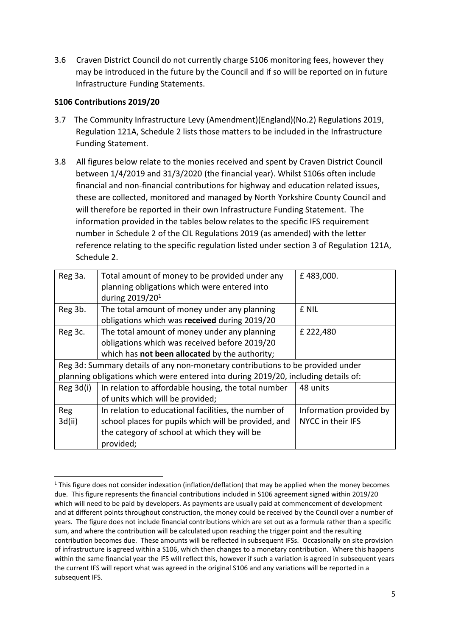3.6 Craven District Council do not currently charge S106 monitoring fees, however they may be introduced in the future by the Council and if so will be reported on in future Infrastructure Funding Statements.

#### **S106 Contributions 2019/20**

1

- 3.7 The Community Infrastructure Levy (Amendment)(England)(No.2) Regulations 2019, Regulation 121A, Schedule 2 lists those matters to be included in the Infrastructure Funding Statement.
- 3.8 All figures below relate to the monies received and spent by Craven District Council between 1/4/2019 and 31/3/2020 (the financial year). Whilst S106s often include financial and non-financial contributions for highway and education related issues, these are collected, monitored and managed by North Yorkshire County Council and will therefore be reported in their own Infrastructure Funding Statement. The information provided in the tables below relates to the specific IFS requirement number in Schedule 2 of the CIL Regulations 2019 (as amended) with the letter reference relating to the specific regulation listed under section 3 of Regulation 121A, Schedule 2.

| Reg 3a.   | Total amount of money to be provided under any                                     | £483,000.               |
|-----------|------------------------------------------------------------------------------------|-------------------------|
|           | planning obligations which were entered into                                       |                         |
|           | during 2019/20 <sup>1</sup>                                                        |                         |
| Reg 3b.   | The total amount of money under any planning                                       | £ NIL                   |
|           | obligations which was received during 2019/20                                      |                         |
| Reg 3c.   | The total amount of money under any planning                                       | £ 222,480               |
|           | obligations which was received before 2019/20                                      |                         |
|           | which has not been allocated by the authority;                                     |                         |
|           | Reg 3d: Summary details of any non-monetary contributions to be provided under     |                         |
|           | planning obligations which were entered into during 2019/20, including details of: |                         |
| Reg 3d(i) | In relation to affordable housing, the total number                                | 48 units                |
|           | of units which will be provided;                                                   |                         |
| Reg       | In relation to educational facilities, the number of                               | Information provided by |
| 3d(ii)    | school places for pupils which will be provided, and                               | NYCC in their IFS       |
|           | the category of school at which they will be                                       |                         |
|           | provided;                                                                          |                         |

 $1$  This figure does not consider indexation (inflation/deflation) that may be applied when the money becomes due. This figure represents the financial contributions included in S106 agreement signed within 2019/20 which will need to be paid by developers. As payments are usually paid at commencement of development and at different points throughout construction, the money could be received by the Council over a number of years. The figure does not include financial contributions which are set out as a formula rather than a specific sum, and where the contribution will be calculated upon reaching the trigger point and the resulting contribution becomes due. These amounts will be reflected in subsequent IFSs. Occasionally on site provision of infrastructure is agreed within a S106, which then changes to a monetary contribution. Where this happens within the same financial year the IFS will reflect this, however if such a variation is agreed in subsequent years the current IFS will report what was agreed in the original S106 and any variations will be reported in a subsequent IFS.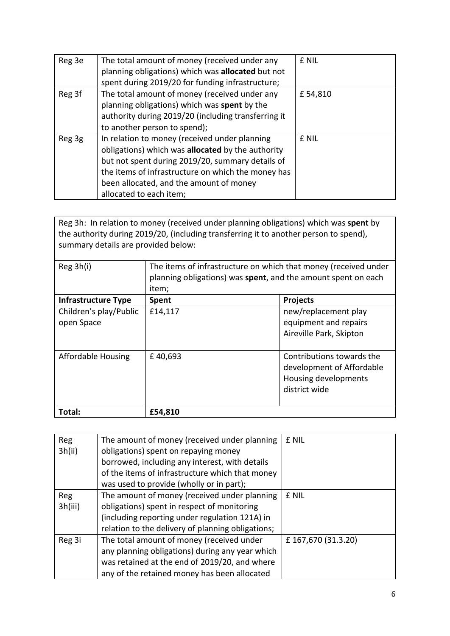| Reg 3e | The total amount of money (received under any       | £ NIL   |
|--------|-----------------------------------------------------|---------|
|        | planning obligations) which was allocated but not   |         |
|        | spent during 2019/20 for funding infrastructure;    |         |
| Reg 3f | The total amount of money (received under any       | £54,810 |
|        | planning obligations) which was spent by the        |         |
|        | authority during 2019/20 (including transferring it |         |
|        | to another person to spend);                        |         |
| Reg 3g | In relation to money (received under planning       | £ NIL   |
|        | obligations) which was allocated by the authority   |         |
|        | but not spent during 2019/20, summary details of    |         |
|        | the items of infrastructure on which the money has  |         |
|        | been allocated, and the amount of money             |         |
|        | allocated to each item;                             |         |

Reg 3h: In relation to money (received under planning obligations) which was **spent** by the authority during 2019/20, (including transferring it to another person to spend), summary details are provided below:

| Reg 3h(i)                            | The items of infrastructure on which that money (received under<br>planning obligations) was spent, and the amount spent on each<br>item; |                                                                                                 |
|--------------------------------------|-------------------------------------------------------------------------------------------------------------------------------------------|-------------------------------------------------------------------------------------------------|
| <b>Infrastructure Type</b>           | <b>Spent</b>                                                                                                                              | <b>Projects</b>                                                                                 |
| Children's play/Public<br>open Space | £14,117                                                                                                                                   | new/replacement play<br>equipment and repairs<br>Aireville Park, Skipton                        |
| <b>Affordable Housing</b>            | £40,693                                                                                                                                   | Contributions towards the<br>development of Affordable<br>Housing developments<br>district wide |
| Total:                               | £54,810                                                                                                                                   |                                                                                                 |

| <b>Reg</b> | The amount of money (received under planning      | £ NIL               |
|------------|---------------------------------------------------|---------------------|
| 3h(ii)     | obligations) spent on repaying money              |                     |
|            | borrowed, including any interest, with details    |                     |
|            | of the items of infrastructure which that money   |                     |
|            | was used to provide (wholly or in part);          |                     |
| Reg        | The amount of money (received under planning      | £ NIL               |
| 3h(iii)    | obligations) spent in respect of monitoring       |                     |
|            | (including reporting under regulation 121A) in    |                     |
|            | relation to the delivery of planning obligations; |                     |
| Reg 3i     | The total amount of money (received under         | £ 167,670 (31.3.20) |
|            | any planning obligations) during any year which   |                     |
|            | was retained at the end of 2019/20, and where     |                     |
|            | any of the retained money has been allocated      |                     |